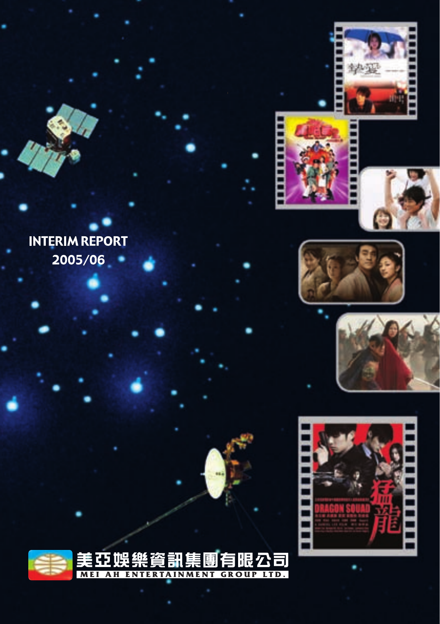















#### t≣ 帽虫 2 纯 r<br>E 閇 公司 Ë. MEI AH ENTERTAINMENT **GROUP LTD.**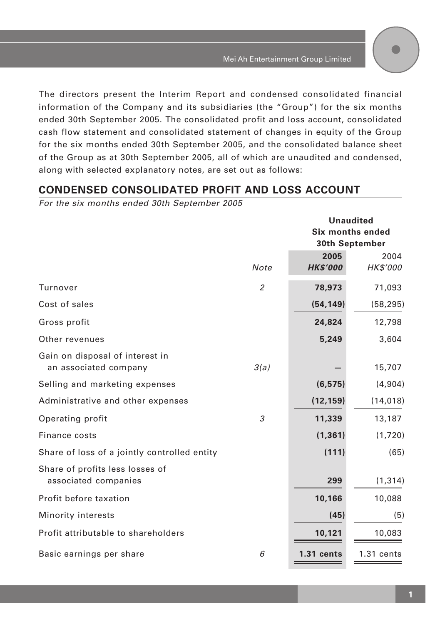The directors present the Interim Report and condensed consolidated financial information of the Company and its subsidiaries (the "Group") for the six months ended 30th September 2005. The consolidated profit and loss account, consolidated cash flow statement and consolidated statement of changes in equity of the Group for the six months ended 30th September 2005, and the consolidated balance sheet of the Group as at 30th September 2005, all of which are unaudited and condensed, along with selected explanatory notes, are set out as follows:

# **CONDENSED CONSOLIDATED PROFIT AND LOSS ACCOUNT**

For the six months ended 30th September 2005

|                                              |                | <b>Unaudited</b>        |                |  |
|----------------------------------------------|----------------|-------------------------|----------------|--|
|                                              |                | <b>Six months ended</b> |                |  |
|                                              |                |                         | 30th September |  |
|                                              |                | 2005                    | 2004           |  |
|                                              | Note           | <b>HK\$'000</b>         | HK\$'000       |  |
| Turnover                                     | $\overline{2}$ | 78,973                  | 71,093         |  |
| Cost of sales                                |                | (54, 149)               | (58, 295)      |  |
| Gross profit                                 |                | 24,824                  | 12,798         |  |
| Other revenues                               |                | 5,249                   | 3,604          |  |
| Gain on disposal of interest in              |                |                         |                |  |
| an associated company                        | 3(a)           |                         | 15,707         |  |
| Selling and marketing expenses               |                | (6, 575)                | (4,904)        |  |
| Administrative and other expenses            |                | (12, 159)               | (14, 018)      |  |
| Operating profit                             | 3              | 11,339                  | 13,187         |  |
| Finance costs                                |                | (1, 361)                | (1,720)        |  |
| Share of loss of a jointly controlled entity |                | (111)                   | (65)           |  |
| Share of profits less losses of              |                |                         |                |  |
| associated companies                         |                | 299                     | (1, 314)       |  |
| Profit before taxation                       |                | 10,166                  | 10,088         |  |
| Minority interests                           |                | (45)                    | (5)            |  |
| Profit attributable to shareholders          |                | 10,121                  | 10,083         |  |
| Basic earnings per share                     | 6              | $1.31$ cents            | $1.31$ cents   |  |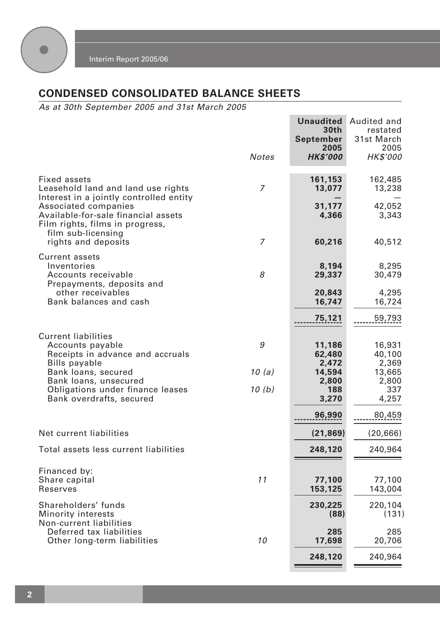

# **CONDENSED CONSOLIDATED BALANCE SHEETS**

As at 30th September 2005 and 31st March 2005

|                                                                                                                      | <b>Notes</b>   | <b>Unaudited</b><br>30th<br>September<br>2005<br><b>HK\$'000</b> | Audited and<br>restated<br>31st March<br>2005<br>HK\$'000 |
|----------------------------------------------------------------------------------------------------------------------|----------------|------------------------------------------------------------------|-----------------------------------------------------------|
| Fixed assets<br>Leasehold land and land use rights<br>Interest in a jointly controlled entity                        | 7              | 161,153<br>13,077                                                | 162,485<br>13,238                                         |
| Associated companies<br>Available-for-sale financial assets<br>Film rights, films in progress,<br>film sub-licensing |                | 31,177<br>4,366                                                  | 42,052<br>3,343                                           |
| rights and deposits                                                                                                  | 7              | 60,216                                                           | 40,512                                                    |
| <b>Current assets</b><br>Inventories<br>Accounts receivable<br>Prepayments, deposits and                             | 8              | 8,194<br>29,337                                                  | 8,295<br>30,479                                           |
| other receivables<br>Bank balances and cash                                                                          |                | 20,843<br>16,747                                                 | 4,295<br>16,724                                           |
|                                                                                                                      |                | 75,121                                                           | 59,793                                                    |
| <b>Current liabilities</b><br>Accounts payable<br>Receipts in advance and accruals<br><b>Bills payable</b>           | 9              | 11,186<br>62,480<br>2,472                                        | 16,931<br>40,100<br>2,369                                 |
| Bank loans, secured<br>Bank loans, unsecured<br>Obligations under finance leases<br>Bank overdrafts, secured         | 10(a)<br>10(b) | 14,594<br>2,800<br>188<br>3,270                                  | 13,665<br>2,800<br>337<br>4,257                           |
|                                                                                                                      |                | 96,990                                                           | 80,459                                                    |
| Net current liabilities                                                                                              |                | (21, 869)                                                        | (20, 666)                                                 |
| Total assets less current liabilities                                                                                |                | 248,120                                                          | 240,964                                                   |
| Financed by:<br>Share capital<br>Reserves                                                                            | 11             | 77,100<br>153,125                                                | 77,100<br>143,004                                         |
| Shareholders' funds<br>Minority interests<br>Non-current liabilities                                                 |                | 230,225<br>(88)                                                  | 220,104<br>(131)                                          |
| Deferred tax liabilities<br>Other long-term liabilities                                                              | 10             | 285<br>17,698                                                    | 285<br>20,706                                             |
|                                                                                                                      |                | 248,120                                                          | 240,964                                                   |
|                                                                                                                      |                |                                                                  |                                                           |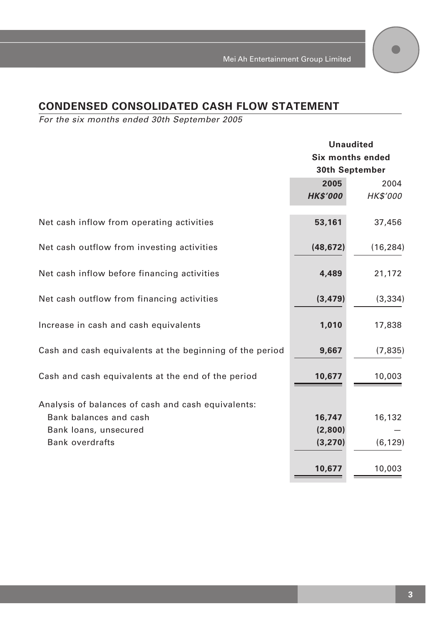# **CONDENSED CONSOLIDATED CASH FLOW STATEMENT**

For the six months ended 30th September 2005

|                                                          | <b>Unaudited</b>        |                 |  |
|----------------------------------------------------------|-------------------------|-----------------|--|
|                                                          | <b>Six months ended</b> |                 |  |
|                                                          |                         | 30th September  |  |
|                                                          | 2005                    | 2004            |  |
|                                                          | <b>HK\$'000</b>         | <b>HK\$'000</b> |  |
|                                                          |                         |                 |  |
| Net cash inflow from operating activities                | 53,161                  | 37,456          |  |
| Net cash outflow from investing activities               | (48, 672)               | (16, 284)       |  |
|                                                          |                         |                 |  |
| Net cash inflow before financing activities              | 4,489                   | 21,172          |  |
|                                                          |                         |                 |  |
| Net cash outflow from financing activities               | (3, 479)                | (3, 334)        |  |
|                                                          |                         |                 |  |
| Increase in cash and cash equivalents                    | 1,010                   | 17,838          |  |
| Cash and cash equivalents at the beginning of the period | 9,667                   | (7, 835)        |  |
|                                                          |                         |                 |  |
| Cash and cash equivalents at the end of the period       | 10,677                  | 10,003          |  |
|                                                          |                         |                 |  |
| Analysis of balances of cash and cash equivalents:       |                         |                 |  |
| Bank balances and cash                                   | 16,747                  | 16,132          |  |
| Bank loans, unsecured                                    | (2,800)                 |                 |  |
| <b>Bank overdrafts</b>                                   | (3, 270)                | (6, 129)        |  |
|                                                          |                         |                 |  |
|                                                          | 10,677                  | 10,003          |  |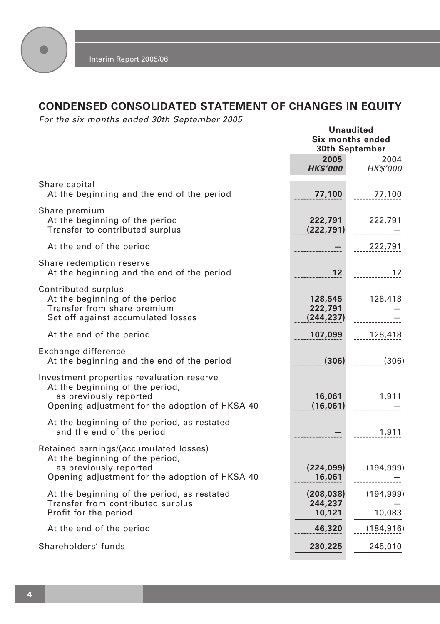

# **CONDENSED CONSOLIDATED STATEMENT OF CHANGES IN EQUITY**

For the six months ended 30th September 2005

|                                                                                                                                                          | <b>Unaudited</b><br>Six months ended<br>30th September |                               |
|----------------------------------------------------------------------------------------------------------------------------------------------------------|--------------------------------------------------------|-------------------------------|
|                                                                                                                                                          | 2005<br><b>HK\$'000</b>                                | 2004<br>HK\$'000              |
| Share capital<br>At the beginning and the end of the period                                                                                              | 77,100                                                 | 77,100                        |
| Share premium<br>At the beginning of the period<br>Transfer to contributed surplus                                                                       | 222,791<br>(222, 791)                                  | 222,791<br>. <del>. .</del> . |
| At the end of the period                                                                                                                                 |                                                        | 222,791                       |
| Share redemption reserve<br>At the beginning and the end of the period                                                                                   | 12 <sup>2</sup>                                        | 12                            |
| Contributed surplus<br>At the beginning of the period<br>Transfer from share premium<br>Set off against accumulated losses                               | 128,545<br>222,791<br>(244, 237)                       | 128,418                       |
| At the end of the period                                                                                                                                 | 107,099                                                | 128,418                       |
| Exchange difference<br>At the beginning and the end of the period                                                                                        | (306)                                                  | (306)                         |
| Investment properties revaluation reserve<br>At the beginning of the period,<br>as previously reported<br>Opening adjustment for the adoption of HKSA 40 | 16,061<br>(16,061)                                     | 1,911                         |
| At the beginning of the period, as restated<br>and the end of the period                                                                                 |                                                        | 1,911                         |
| Retained earnings/(accumulated losses)<br>At the beginning of the period,<br>as previously reported<br>Opening adjustment for the adoption of HKSA 40    | (224, 099)<br>16,061                                   | (194, 999)                    |
| At the beginning of the period, as restated<br>Transfer from contributed surplus<br>Profit for the period                                                | (208, 038)<br>244,237<br>10,121                        | (194, 999)<br>10,083          |
| At the end of the period                                                                                                                                 | 46,320                                                 | (184, 916)                    |
| Shareholders' funds                                                                                                                                      | 230,225                                                | 245,010                       |
|                                                                                                                                                          |                                                        |                               |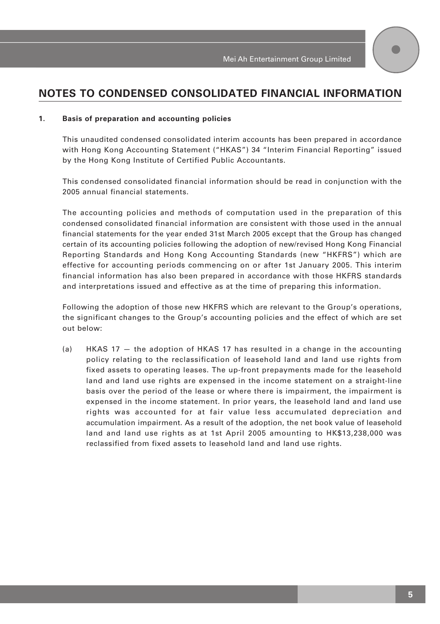# **NOTES TO CONDENSED CONSOLIDATED FINANCIAL INFORMATION**

#### **1. Basis of preparation and accounting policies**

This unaudited condensed consolidated interim accounts has been prepared in accordance with Hong Kong Accounting Statement ("HKAS") 34 "Interim Financial Reporting" issued by the Hong Kong Institute of Certified Public Accountants.

This condensed consolidated financial information should be read in conjunction with the 2005 annual financial statements.

The accounting policies and methods of computation used in the preparation of this condensed consolidated financial information are consistent with those used in the annual financial statements for the year ended 31st March 2005 except that the Group has changed certain of its accounting policies following the adoption of new/revised Hong Kong Financial Reporting Standards and Hong Kong Accounting Standards (new "HKFRS") which are effective for accounting periods commencing on or after 1st January 2005. This interim financial information has also been prepared in accordance with those HKFRS standards and interpretations issued and effective as at the time of preparing this information.

Following the adoption of those new HKFRS which are relevant to the Group's operations, the significant changes to the Group's accounting policies and the effect of which are set out below:

(a) HKAS 17 — the adoption of HKAS 17 has resulted in a change in the accounting policy relating to the reclassification of leasehold land and land use rights from fixed assets to operating leases. The up-front prepayments made for the leasehold land and land use rights are expensed in the income statement on a straight-line basis over the period of the lease or where there is impairment, the impairment is expensed in the income statement. In prior years, the leasehold land and land use rights was accounted for at fair value less accumulated depreciation and accumulation impairment. As a result of the adoption, the net book value of leasehold land and land use rights as at 1st April 2005 amounting to HK\$13,238,000 was reclassified from fixed assets to leasehold land and land use rights.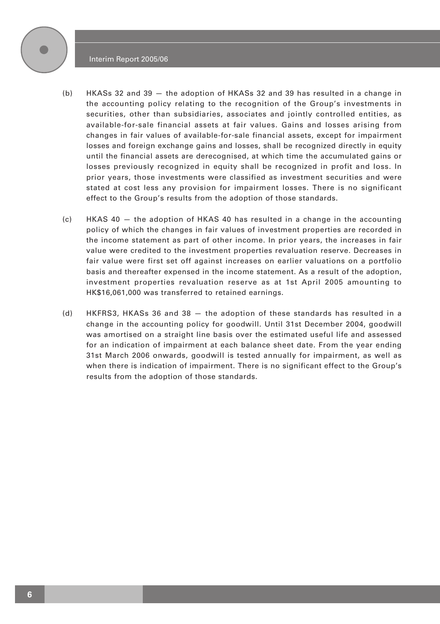#### Interim Report 2005/06



- (b) HKASs 32 and 39 the adoption of HKASs 32 and 39 has resulted in a change in the accounting policy relating to the recognition of the Group's investments in securities, other than subsidiaries, associates and jointly controlled entities, as available-for-sale financial assets at fair values. Gains and losses arising from changes in fair values of available-for-sale financial assets, except for impairment losses and foreign exchange gains and losses, shall be recognized directly in equity until the financial assets are derecognised, at which time the accumulated gains or losses previously recognized in equity shall be recognized in profit and loss. In prior years, those investments were classified as investment securities and were stated at cost less any provision for impairment losses. There is no significant effect to the Group's results from the adoption of those standards.
- (c) HKAS 40 the adoption of HKAS 40 has resulted in a change in the accounting policy of which the changes in fair values of investment properties are recorded in the income statement as part of other income. In prior years, the increases in fair value were credited to the investment properties revaluation reserve. Decreases in fair value were first set off against increases on earlier valuations on a portfolio basis and thereafter expensed in the income statement. As a result of the adoption, investment properties revaluation reserve as at 1st April 2005 amounting to HK\$16,061,000 was transferred to retained earnings.
- (d) HKFRS3, HKASs 36 and 38 the adoption of these standards has resulted in a change in the accounting policy for goodwill. Until 31st December 2004, goodwill was amortised on a straight line basis over the estimated useful life and assessed for an indication of impairment at each balance sheet date. From the year ending 31st March 2006 onwards, goodwill is tested annually for impairment, as well as when there is indication of impairment. There is no significant effect to the Group's results from the adoption of those standards.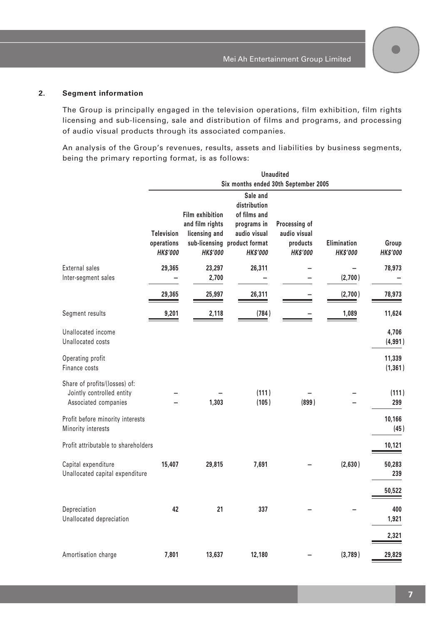#### **2. Segment information**

The Group is principally engaged in the television operations, film exhibition, film rights licensing and sub-licensing, sale and distribution of films and programs, and processing of audio visual products through its associated companies.

An analysis of the Group's revenues, results, assets and liabilities by business segments, being the primary reporting format, is as follows:

|                                                                                    |                                                    |                                                                               |                                                                                                                            | <b>Unaudited</b>                                             |                                       |                          |
|------------------------------------------------------------------------------------|----------------------------------------------------|-------------------------------------------------------------------------------|----------------------------------------------------------------------------------------------------------------------------|--------------------------------------------------------------|---------------------------------------|--------------------------|
|                                                                                    |                                                    |                                                                               | Six months ended 30th September 2005                                                                                       |                                                              |                                       |                          |
|                                                                                    | <b>Television</b><br>operations<br><b>HK\$'000</b> | <b>Film exhibition</b><br>and film rights<br>licensing and<br><b>HK\$'000</b> | Sale and<br>distribution<br>of films and<br>programs in<br>audio visual<br>sub-licensing product format<br><b>HK\$'000</b> | Processing of<br>audio visual<br>products<br><b>HK\$'000</b> | <b>Elimination</b><br><b>HK\$'000</b> | Group<br><b>HK\$'000</b> |
| External sales<br>Inter-segment sales                                              | 29,365                                             | 23,297<br>2,700                                                               | 26,311                                                                                                                     |                                                              | (2,700)                               | 78,973                   |
|                                                                                    | 29,365                                             | 25,997                                                                        | 26,311                                                                                                                     |                                                              | (2,700)                               | 78,973                   |
| Segment results                                                                    | 9,201                                              | 2,118                                                                         | (784)                                                                                                                      |                                                              | 1,089                                 | 11,624                   |
| Unallocated income<br>Unallocated costs                                            |                                                    |                                                                               |                                                                                                                            |                                                              |                                       | 4,706<br>(4,991)         |
| Operating profit<br>Finance costs                                                  |                                                    |                                                                               |                                                                                                                            |                                                              |                                       | 11,339<br>(1, 361)       |
| Share of profits/(losses) of:<br>Jointly controlled entity<br>Associated companies |                                                    | 1,303                                                                         | (111)<br>(105)                                                                                                             | (899)                                                        |                                       | (111)<br>299             |
| Profit before minority interests<br>Minority interests                             |                                                    |                                                                               |                                                                                                                            |                                                              |                                       | 10,166<br>(45)           |
| Profit attributable to shareholders                                                |                                                    |                                                                               |                                                                                                                            |                                                              |                                       | 10,121                   |
| Capital expenditure<br>Unallocated capital expenditure                             | 15,407                                             | 29,815                                                                        | 7,691                                                                                                                      |                                                              | (2,630)                               | 50,283<br>239            |
| Depreciation<br>Unallocated depreciation                                           | 42                                                 | 21                                                                            | 337                                                                                                                        |                                                              |                                       | 50,522<br>400<br>1,921   |
|                                                                                    |                                                    |                                                                               |                                                                                                                            |                                                              |                                       | 2,321                    |
| Amortisation charge                                                                | 7,801                                              | 13,637                                                                        | 12,180                                                                                                                     |                                                              | (3,789)                               | 29,829                   |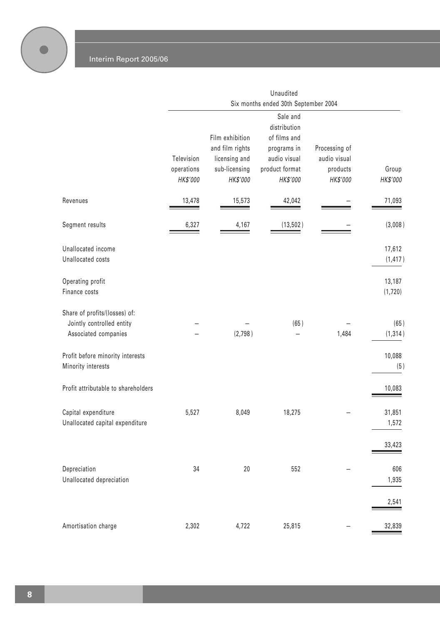$\bullet$ 

|                                                                                    |                                      |                                                                                  | Unaudited<br>Six months ended 30th September 2004                                                     |                                                       |                    |
|------------------------------------------------------------------------------------|--------------------------------------|----------------------------------------------------------------------------------|-------------------------------------------------------------------------------------------------------|-------------------------------------------------------|--------------------|
|                                                                                    | Television<br>operations<br>HK\$'000 | Film exhibition<br>and film rights<br>licensing and<br>sub-licensing<br>HK\$'000 | Sale and<br>distribution<br>of films and<br>programs in<br>audio visual<br>product format<br>HK\$'000 | Processing of<br>audio visual<br>products<br>HK\$'000 | Group<br>HK\$'000  |
| Revenues                                                                           | 13,478                               | 15,573                                                                           | 42,042                                                                                                |                                                       | 71,093             |
| Segment results                                                                    | 6,327                                | 4,167                                                                            | (13, 502)                                                                                             |                                                       | (3,008)            |
| Unallocated income<br>Unallocated costs                                            |                                      |                                                                                  |                                                                                                       |                                                       | 17,612<br>(1, 417) |
| Operating profit<br>Finance costs                                                  |                                      |                                                                                  |                                                                                                       |                                                       | 13,187<br>(1, 720) |
| Share of profits/(losses) of:<br>Jointly controlled entity<br>Associated companies |                                      | (2,798)                                                                          | (65)                                                                                                  | 1,484                                                 | (65)<br>(1, 314)   |
| Profit before minority interests<br>Minority interests                             |                                      |                                                                                  |                                                                                                       |                                                       | 10,088<br>(5)      |
| Profit attributable to shareholders                                                |                                      |                                                                                  |                                                                                                       |                                                       | 10,083             |
| Capital expenditure<br>Unallocated capital expenditure                             | 5,527                                | 8,049                                                                            | 18,275                                                                                                |                                                       | 31,851<br>1,572    |
|                                                                                    |                                      |                                                                                  |                                                                                                       |                                                       | 33,423             |
| Depreciation<br>Unallocated depreciation                                           | 34                                   | 20                                                                               | 552                                                                                                   |                                                       | 606<br>1,935       |
|                                                                                    |                                      |                                                                                  |                                                                                                       |                                                       | 2,541              |
| Amortisation charge                                                                | 2,302                                | 4,722                                                                            | 25,815                                                                                                |                                                       | 32,839             |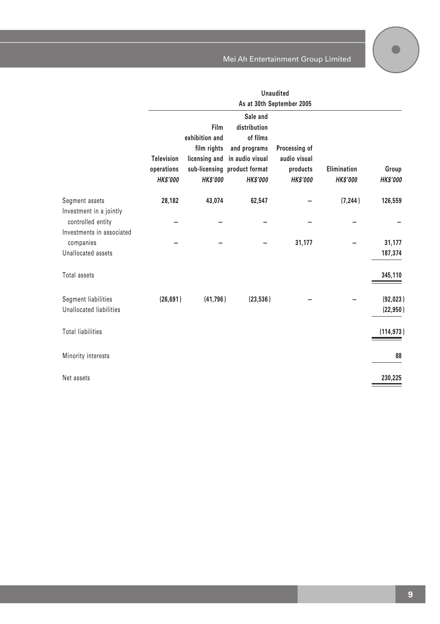|                                                                |                                                    |                                                                           | Mei Ah Entertainment Group Limited                                                                                         |                                                              |                                |                          |
|----------------------------------------------------------------|----------------------------------------------------|---------------------------------------------------------------------------|----------------------------------------------------------------------------------------------------------------------------|--------------------------------------------------------------|--------------------------------|--------------------------|
|                                                                |                                                    |                                                                           |                                                                                                                            | <b>Unaudited</b><br>As at 30th September 2005                |                                |                          |
|                                                                | <b>Television</b><br>operations<br><b>HK\$'000</b> | Film<br>exhibition and<br>film rights<br>licensing and<br><b>HK\$'000</b> | Sale and<br>distribution<br>of films<br>and programs<br>in audio visual<br>sub-licensing product format<br><b>HK\$'000</b> | Processing of<br>audio visual<br>products<br><b>HK\$'000</b> | Elimination<br><b>HK\$'000</b> | Group<br><b>HK\$'000</b> |
| Segment assets<br>Investment in a jointly<br>controlled entity | 28,182                                             | 43,074                                                                    | 62,547                                                                                                                     |                                                              | (7, 244)                       | 126,559                  |
| Investments in associated<br>companies<br>Unallocated assets   |                                                    |                                                                           |                                                                                                                            | 31,177                                                       |                                | 31,177<br>187,374        |
| Total assets                                                   |                                                    |                                                                           |                                                                                                                            |                                                              |                                | 345,110                  |
| Segment liabilities<br>Unallocated liabilities                 | (26, 691)                                          | (41, 796)                                                                 | (23, 536)                                                                                                                  |                                                              |                                | (92,023)<br>(22, 950)    |
| <b>Total liabilities</b>                                       |                                                    |                                                                           |                                                                                                                            |                                                              |                                | (114.973)                |

Minority interests **88**

Net assets **230,225**

**9**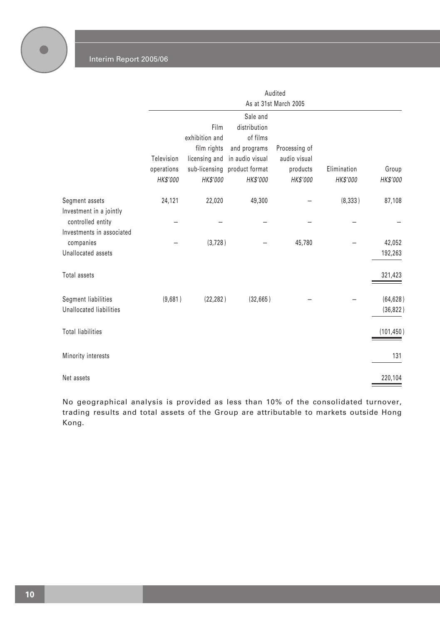|                                                |                        |                        |                                          | Audited               |                         |                          |
|------------------------------------------------|------------------------|------------------------|------------------------------------------|-----------------------|-------------------------|--------------------------|
|                                                |                        |                        |                                          | As at 31st March 2005 |                         |                          |
|                                                |                        | Film<br>exhibition and | Sale and<br>distribution<br>of films     |                       |                         |                          |
|                                                |                        | film rights            | and programs                             | Processing of         |                         |                          |
|                                                | Television             | licensing and          | in audio visual                          | audio visual          |                         |                          |
|                                                | operations<br>HK\$'000 | HK\$'000               | sub-licensing product format<br>HK\$'000 | products<br>HK\$'000  | Elimination<br>HK\$'000 | Group<br><b>HK\$'000</b> |
| Segment assets<br>Investment in a jointly      | 24,121                 | 22,020                 | 49,300                                   |                       | (8, 333)                | 87,108                   |
| controlled entity<br>Investments in associated |                        |                        |                                          |                       |                         |                          |
| companies                                      |                        | (3, 728)               |                                          | 45,780                |                         | 42,052                   |
| Unallocated assets                             |                        |                        |                                          |                       |                         | 192,263                  |
| Total assets                                   |                        |                        |                                          |                       |                         | 321,423                  |
| <b>Segment liabilities</b>                     | (9,681)                | (22, 282)              | (32,665)                                 |                       |                         | (64, 628)                |
| Unallocated liabilities                        |                        |                        |                                          |                       |                         | (36, 822)                |
| <b>Total liabilities</b>                       |                        |                        |                                          |                       |                         | (101, 450)               |
| Minority interests                             |                        |                        |                                          |                       |                         | 131                      |
| Net assets                                     |                        |                        |                                          |                       |                         | 220,104                  |

No geographical analysis is provided as less than 10% of the consolidated turnover, trading results and total assets of the Group are attributable to markets outside Hong Kong.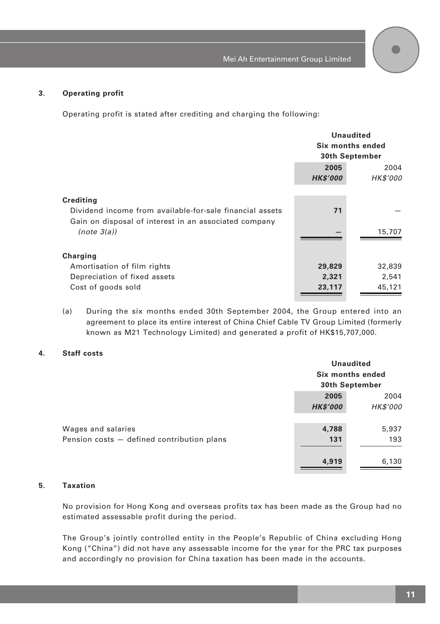#### **3. Operating profit**

Operating profit is stated after crediting and charging the following:

|                                                          |                 | <b>Unaudited</b><br>Six months ended<br>30th September |  |  |
|----------------------------------------------------------|-----------------|--------------------------------------------------------|--|--|
|                                                          |                 |                                                        |  |  |
|                                                          |                 |                                                        |  |  |
|                                                          | 2005<br>2004    |                                                        |  |  |
|                                                          | <b>HK\$'000</b> | <b>HK\$'000</b>                                        |  |  |
|                                                          |                 |                                                        |  |  |
| Crediting                                                |                 |                                                        |  |  |
| Dividend income from available-for-sale financial assets | 71              |                                                        |  |  |
| Gain on disposal of interest in an associated company    |                 |                                                        |  |  |
| (note 3(a))                                              |                 | 15,707                                                 |  |  |
|                                                          |                 |                                                        |  |  |
| Charging                                                 |                 |                                                        |  |  |
| Amortisation of film rights                              | 29,829          | 32,839                                                 |  |  |
| Depreciation of fixed assets                             | 2,321           | 2,541                                                  |  |  |
| Cost of goods sold                                       | 23,117          | 45,121                                                 |  |  |
|                                                          |                 |                                                        |  |  |

(a) During the six months ended 30th September 2004, the Group entered into an agreement to place its entire interest of China Chief Cable TV Group Limited (formerly known as M21 Technology Limited) and generated a profit of HK\$15,707,000.

#### **4. Staff costs**

|                                            |                 | <b>Unaudited</b><br>Six months ended<br>30th September |
|--------------------------------------------|-----------------|--------------------------------------------------------|
|                                            | 2005            | 2004                                                   |
|                                            | <b>HK\$'000</b> | HK\$'000                                               |
|                                            |                 |                                                        |
| Wages and salaries                         | 4,788           | 5,937                                                  |
| Pension costs - defined contribution plans | 131             | 193                                                    |
|                                            |                 |                                                        |
|                                            | 4,919           | 6,130                                                  |
|                                            |                 |                                                        |

## **5. Taxation**

No provision for Hong Kong and overseas profits tax has been made as the Group had no estimated assessable profit during the period.

The Group's jointly controlled entity in the People's Republic of China excluding Hong Kong ("China") did not have any assessable income for the year for the PRC tax purposes and accordingly no provision for China taxation has been made in the accounts.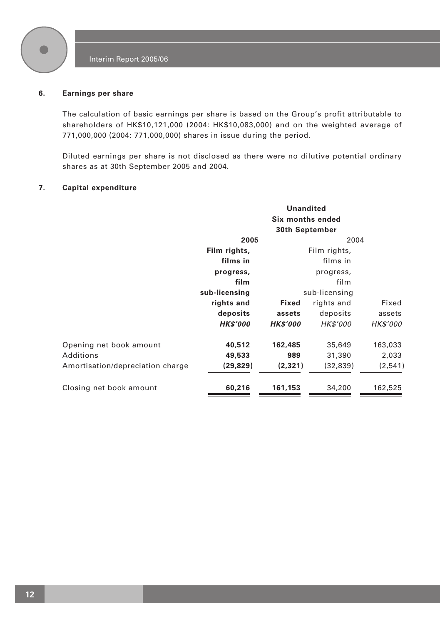

#### **6. Earnings per share**

The calculation of basic earnings per share is based on the Group's profit attributable to shareholders of HK\$10,121,000 (2004: HK\$10,083,000) and on the weighted average of 771,000,000 (2004: 771,000,000) shares in issue during the period.

Diluted earnings per share is not disclosed as there were no dilutive potential ordinary shares as at 30th September 2005 and 2004.

#### **7. Capital expenditure**

| <b>Unandited</b>       |                 |                 |                                                             |
|------------------------|-----------------|-----------------|-------------------------------------------------------------|
|                        |                 |                 |                                                             |
| 2005                   |                 |                 |                                                             |
| Film rights,           |                 | Film rights,    |                                                             |
| films in<br>films in   |                 |                 |                                                             |
| progress,<br>progress, |                 |                 |                                                             |
| film<br>film           |                 |                 |                                                             |
| sub-licensing          |                 |                 |                                                             |
| rights and             | <b>Fixed</b>    | rights and      | Fixed                                                       |
| deposits               | assets          | deposits        | assets                                                      |
| <b>HK\$'000</b>        | <b>HK\$'000</b> | <b>HK\$'000</b> | <b>HK\$'000</b>                                             |
| 40,512                 | 162,485         | 35,649          | 163,033                                                     |
| 49,533                 | 989             | 31,390          | 2,033                                                       |
| (29, 829)              | (2, 321)        | (32, 839)       | (2,541)                                                     |
| 60,216                 | 161,153         | 34,200          | 162,525                                                     |
|                        |                 |                 | Six months ended<br>30th September<br>2004<br>sub-licensing |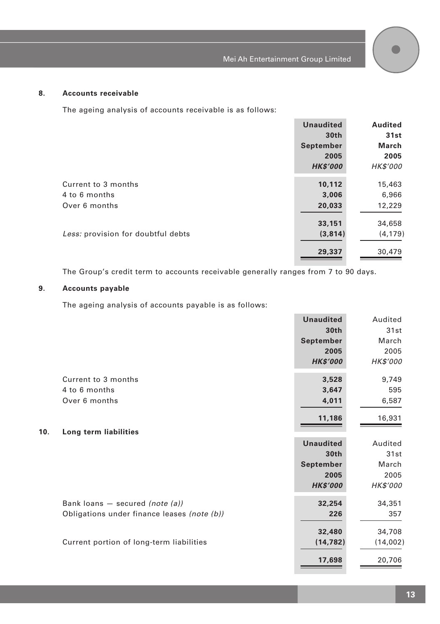#### **8. Accounts receivable**

The ageing analysis of accounts receivable is as follows:

|                                    | <b>Unaudited</b> | Audited  |
|------------------------------------|------------------|----------|
|                                    | 30th             | 31st     |
|                                    | September        | March    |
|                                    | 2005             | 2005     |
|                                    | <b>HK\$'000</b>  | HK\$'000 |
| Current to 3 months                | 10,112           | 15,463   |
| 4 to 6 months                      | 3,006            | 6,966    |
| Over 6 months                      | 20,033           | 12,229   |
|                                    | 33,151           | 34,658   |
| Less: provision for doubtful debts | (3,814)          | (4, 179) |
|                                    | 29,337           | 30,479   |

The Group's credit term to accounts receivable generally ranges from 7 to 90 days.

## **9. Accounts payable**

The ageing analysis of accounts payable is as follows:

|     |                                             | <b>Unaudited</b> | Audited  |
|-----|---------------------------------------------|------------------|----------|
|     |                                             | 30th             | 31st     |
|     |                                             | September        | March    |
|     |                                             | 2005             | 2005     |
|     |                                             | <b>HK\$'000</b>  | HK\$'000 |
|     | Current to 3 months                         | 3,528            | 9,749    |
|     | 4 to 6 months                               | 3,647            | 595      |
|     | Over 6 months                               | 4,011            | 6,587    |
|     |                                             | 11,186           | 16,931   |
| 10. | Long term liabilities                       |                  |          |
|     |                                             | <b>Unaudited</b> | Audited  |
|     |                                             | 30th             | 31st     |
|     |                                             | September        | March    |
|     |                                             | 2005             | 2005     |
|     |                                             | <b>HK\$'000</b>  | HK\$'000 |
|     | Bank loans $-$ secured <i>(note (a))</i>    | 32,254           | 34,351   |
|     | Obligations under finance leases (note (b)) | 226              | 357      |
|     |                                             | 32,480           | 34,708   |
|     | Current portion of long-term liabilities    | (14, 782)        | (14,002) |
|     |                                             | 17,698           | 20,706   |
|     |                                             |                  |          |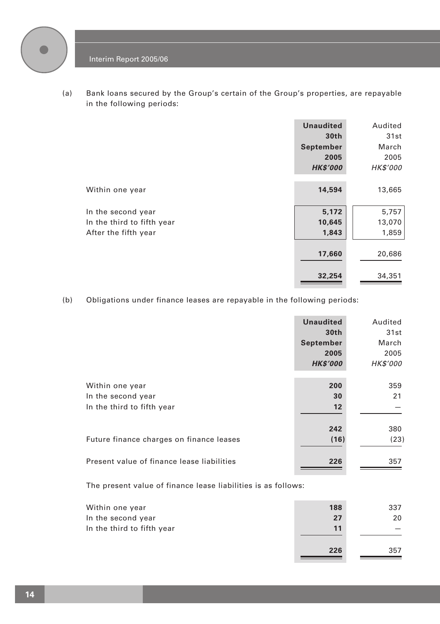

(a) Bank loans secured by the Group's certain of the Group's properties, are repayable in the following periods:

|                            | <b>Unaudited</b><br>30th | Audited<br>31st |
|----------------------------|--------------------------|-----------------|
|                            | September                | March           |
|                            | 2005                     | 2005            |
|                            | <b>HK\$'000</b>          | HK\$'000        |
|                            |                          |                 |
| Within one year            | 14,594                   | 13,665          |
|                            |                          |                 |
| In the second year         | 5,172                    | 5,757           |
| In the third to fifth year | 10,645                   | 13,070          |
| After the fifth year       | 1,843                    | 1,859           |
|                            |                          |                 |
|                            | 17,660                   | 20,686          |
|                            |                          |                 |
|                            | 32,254                   | 34,351          |
|                            |                          |                 |

(b) Obligations under finance leases are repayable in the following periods:

|                                            | <b>Unaudited</b> | Audited         |
|--------------------------------------------|------------------|-----------------|
|                                            | 30 <sub>th</sub> | 31st            |
|                                            | September        | March           |
|                                            | 2005             | 2005            |
|                                            | <b>HK\$'000</b>  | <b>HK\$'000</b> |
|                                            |                  |                 |
| Within one year                            | 200              | 359             |
| In the second year                         | 30               | 21              |
| In the third to fifth year                 | $12 \,$          |                 |
|                                            |                  |                 |
|                                            | 242              | 380             |
| Future finance charges on finance leases   | (16)             | (23)            |
|                                            |                  |                 |
| Present value of finance lease liabilities | 226              | 357             |

The present value of finance lease liabilities is as follows:

| Within one year            | 188 | 337 |
|----------------------------|-----|-----|
| In the second year         | 27  | 20  |
| In the third to fifth year | 11  |     |
|                            | 226 | 357 |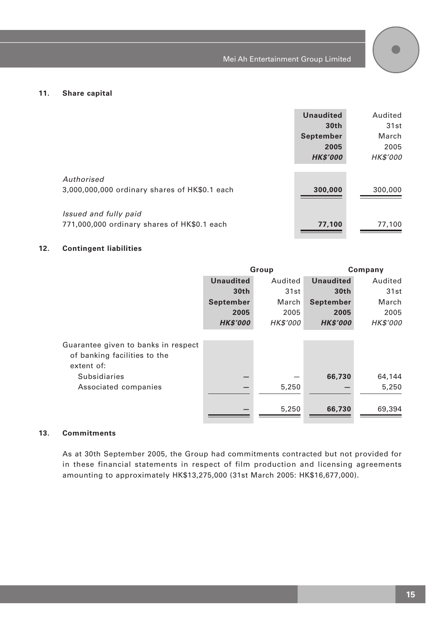

#### **11. Share capital**

|                                                                      | <b>Unaudited</b><br>30th<br>September<br>2005<br><b>HK\$'000</b> | Audited<br>31st<br>March<br>2005<br>HK\$'000 |
|----------------------------------------------------------------------|------------------------------------------------------------------|----------------------------------------------|
| Authorised<br>3,000,000,000 ordinary shares of HK\$0.1 each          | 300,000                                                          | 300,000                                      |
| Issued and fully paid<br>771,000,000 ordinary shares of HK\$0.1 each | 77,100                                                           | 77,100                                       |

#### **12. Contingent liabilities**

|                                                                                   | Group            |                 | Company          |                 |
|-----------------------------------------------------------------------------------|------------------|-----------------|------------------|-----------------|
|                                                                                   | <b>Unaudited</b> | Audited         | <b>Unaudited</b> | Audited         |
|                                                                                   | 30th             | 31st            | 30th             | 31st            |
|                                                                                   | September        | March           | September        | March           |
|                                                                                   | 2005             | 2005            | 2005             | 2005            |
|                                                                                   | <b>HK\$'000</b>  | <b>HK\$'000</b> | <b>HK\$'000</b>  | <b>HK\$'000</b> |
| Guarantee given to banks in respect<br>of banking facilities to the<br>extent of: |                  |                 |                  |                 |
| Subsidiaries                                                                      |                  |                 | 66,730           | 64,144          |
| Associated companies                                                              |                  | 5,250           |                  | 5,250           |
|                                                                                   |                  | 5,250           | 66,730           | 69,394          |

#### **13. Commitments**

As at 30th September 2005, the Group had commitments contracted but not provided for in these financial statements in respect of film production and licensing agreements amounting to approximately HK\$13,275,000 (31st March 2005: HK\$16,677,000).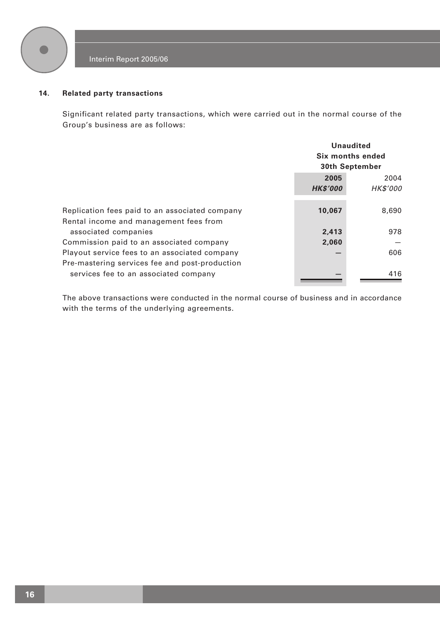

#### **14. Related party transactions**

Significant related party transactions, which were carried out in the normal course of the Group's business are as follows:

|                                                | <b>Unaudited</b><br>Six months ended<br>30th September |                 |
|------------------------------------------------|--------------------------------------------------------|-----------------|
|                                                | 2005<br>2004                                           |                 |
|                                                | <b>HK\$'000</b>                                        | <b>HK\$'000</b> |
| Replication fees paid to an associated company | 10,067                                                 | 8,690           |
| Rental income and management fees from         |                                                        |                 |
| associated companies                           | 2,413                                                  | 978             |
| Commission paid to an associated company       | 2,060                                                  |                 |
| Playout service fees to an associated company  |                                                        | 606             |
| Pre-mastering services fee and post-production |                                                        |                 |
| services fee to an associated company          |                                                        | 416             |

The above transactions were conducted in the normal course of business and in accordance with the terms of the underlying agreements.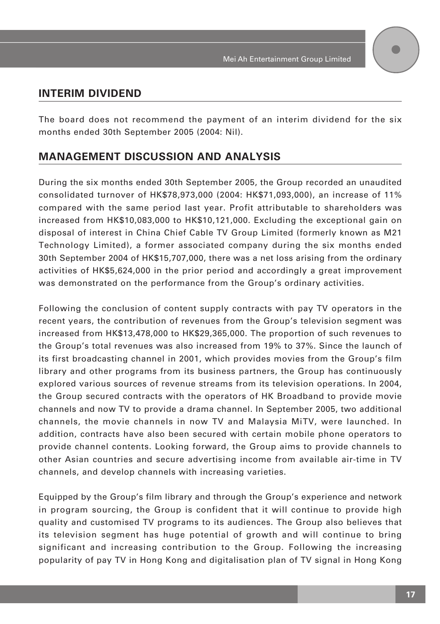# **INTERIM DIVIDEND**

The board does not recommend the payment of an interim dividend for the six months ended 30th September 2005 (2004: Nil).

# **MANAGEMENT DISCUSSION AND ANALYSIS**

During the six months ended 30th September 2005, the Group recorded an unaudited consolidated turnover of HK\$78,973,000 (2004: HK\$71,093,000), an increase of 11% compared with the same period last year. Profit attributable to shareholders was increased from HK\$10,083,000 to HK\$10,121,000. Excluding the exceptional gain on disposal of interest in China Chief Cable TV Group Limited (formerly known as M21 Technology Limited), a former associated company during the six months ended 30th September 2004 of HK\$15,707,000, there was a net loss arising from the ordinary activities of HK\$5,624,000 in the prior period and accordingly a great improvement was demonstrated on the performance from the Group's ordinary activities.

Following the conclusion of content supply contracts with pay TV operators in the recent years, the contribution of revenues from the Group's television segment was increased from HK\$13,478,000 to HK\$29,365,000. The proportion of such revenues to the Group's total revenues was also increased from 19% to 37%. Since the launch of its first broadcasting channel in 2001, which provides movies from the Group's film library and other programs from its business partners, the Group has continuously explored various sources of revenue streams from its television operations. In 2004, the Group secured contracts with the operators of HK Broadband to provide movie channels and now TV to provide a drama channel. In September 2005, two additional channels, the movie channels in now TV and Malaysia MiTV, were launched. In addition, contracts have also been secured with certain mobile phone operators to provide channel contents. Looking forward, the Group aims to provide channels to other Asian countries and secure advertising income from available air-time in TV channels, and develop channels with increasing varieties.

Equipped by the Group's film library and through the Group's experience and network in program sourcing, the Group is confident that it will continue to provide high quality and customised TV programs to its audiences. The Group also believes that its television segment has huge potential of growth and will continue to bring significant and increasing contribution to the Group. Following the increasing popularity of pay TV in Hong Kong and digitalisation plan of TV signal in Hong Kong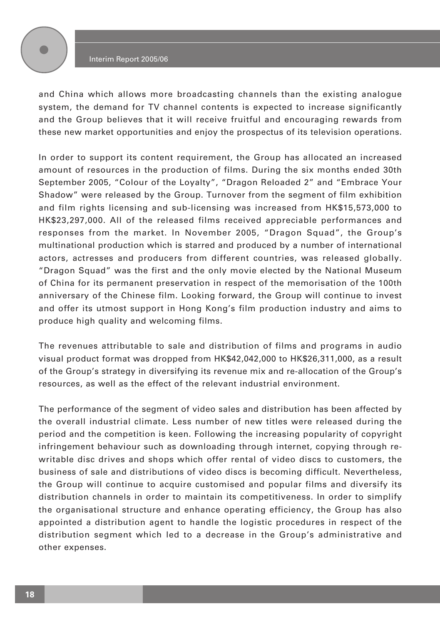

and China which allows more broadcasting channels than the existing analogue system, the demand for TV channel contents is expected to increase significantly and the Group believes that it will receive fruitful and encouraging rewards from these new market opportunities and enjoy the prospectus of its television operations.

In order to support its content requirement, the Group has allocated an increased amount of resources in the production of films. During the six months ended 30th September 2005, "Colour of the Loyalty", "Dragon Reloaded 2" and "Embrace Your Shadow" were released by the Group. Turnover from the segment of film exhibition and film rights licensing and sub-licensing was increased from HK\$15,573,000 to HK\$23,297,000. All of the released films received appreciable performances and responses from the market. In November 2005, "Dragon Squad", the Group's multinational production which is starred and produced by a number of international actors, actresses and producers from different countries, was released globally. "Dragon Squad" was the first and the only movie elected by the National Museum of China for its permanent preservation in respect of the memorisation of the 100th anniversary of the Chinese film. Looking forward, the Group will continue to invest and offer its utmost support in Hong Kong's film production industry and aims to produce high quality and welcoming films.

The revenues attributable to sale and distribution of films and programs in audio visual product format was dropped from HK\$42,042,000 to HK\$26,311,000, as a result of the Group's strategy in diversifying its revenue mix and re-allocation of the Group's resources, as well as the effect of the relevant industrial environment.

The performance of the segment of video sales and distribution has been affected by the overall industrial climate. Less number of new titles were released during the period and the competition is keen. Following the increasing popularity of copyright infringement behaviour such as downloading through internet, copying through rewritable disc drives and shops which offer rental of video discs to customers, the business of sale and distributions of video discs is becoming difficult. Nevertheless, the Group will continue to acquire customised and popular films and diversify its distribution channels in order to maintain its competitiveness. In order to simplify the organisational structure and enhance operating efficiency, the Group has also appointed a distribution agent to handle the logistic procedures in respect of the distribution segment which led to a decrease in the Group's administrative and other expenses.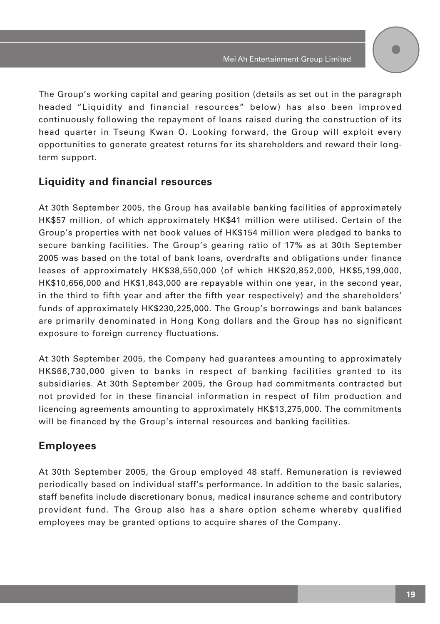The Group's working capital and gearing position (details as set out in the paragraph headed "Liquidity and financial resources" below) has also been improved continuously following the repayment of loans raised during the construction of its head quarter in Tseung Kwan O. Looking forward, the Group will exploit every opportunities to generate greatest returns for its shareholders and reward their longterm support.

# **Liquidity and financial resources**

At 30th September 2005, the Group has available banking facilities of approximately HK\$57 million, of which approximately HK\$41 million were utilised. Certain of the Group's properties with net book values of HK\$154 million were pledged to banks to secure banking facilities. The Group's gearing ratio of 17% as at 30th September 2005 was based on the total of bank loans, overdrafts and obligations under finance leases of approximately HK\$38,550,000 (of which HK\$20,852,000, HK\$5,199,000, HK\$10,656,000 and HK\$1,843,000 are repayable within one year, in the second year, in the third to fifth year and after the fifth year respectively) and the shareholders' funds of approximately HK\$230,225,000. The Group's borrowings and bank balances are primarily denominated in Hong Kong dollars and the Group has no significant exposure to foreign currency fluctuations.

At 30th September 2005, the Company had guarantees amounting to approximately HK\$66,730,000 given to banks in respect of banking facilities granted to its subsidiaries. At 30th September 2005, the Group had commitments contracted but not provided for in these financial information in respect of film production and licencing agreements amounting to approximately HK\$13,275,000. The commitments will be financed by the Group's internal resources and banking facilities.

# **Employees**

At 30th September 2005, the Group employed 48 staff. Remuneration is reviewed periodically based on individual staff's performance. In addition to the basic salaries, staff benefits include discretionary bonus, medical insurance scheme and contributory provident fund. The Group also has a share option scheme whereby qualified employees may be granted options to acquire shares of the Company.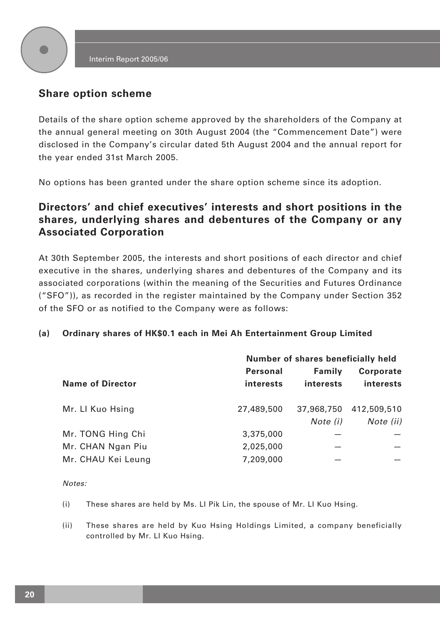

# **Share option scheme**

Details of the share option scheme approved by the shareholders of the Company at the annual general meeting on 30th August 2004 (the "Commencement Date") were disclosed in the Company's circular dated 5th August 2004 and the annual report for the year ended 31st March 2005.

No options has been granted under the share option scheme since its adoption.

# **Directors' and chief executives' interests and short positions in the shares, underlying shares and debentures of the Company or any Associated Corporation**

At 30th September 2005, the interests and short positions of each director and chief executive in the shares, underlying shares and debentures of the Company and its associated corporations (within the meaning of the Securities and Futures Ordinance ("SFO")), as recorded in the register maintained by the Company under Section 352 of the SFO or as notified to the Company were as follows:

## **(a) Ordinary shares of HK\$0.1 each in Mei Ah Entertainment Group Limited**

|                         | Number of shares beneficially held |                        |                               |
|-------------------------|------------------------------------|------------------------|-------------------------------|
| <b>Name of Director</b> | Personal<br>interests              | Family<br>interests    | <b>Corporate</b><br>interests |
| Mr. Ll Kuo Hsing        | 27,489,500                         | 37,968,750<br>Note (i) | 412,509,510<br>Note (ii)      |
| Mr. TONG Hing Chi       | 3,375,000                          |                        |                               |
| Mr. CHAN Ngan Piu       | 2,025,000                          |                        |                               |
| Mr. CHAU Kei Leung      | 7,209,000                          |                        |                               |

Notes:

(i) These shares are held by Ms. LI Pik Lin, the spouse of Mr. LI Kuo Hsing.

(ii) These shares are held by Kuo Hsing Holdings Limited, a company beneficially controlled by Mr. LI Kuo Hsing.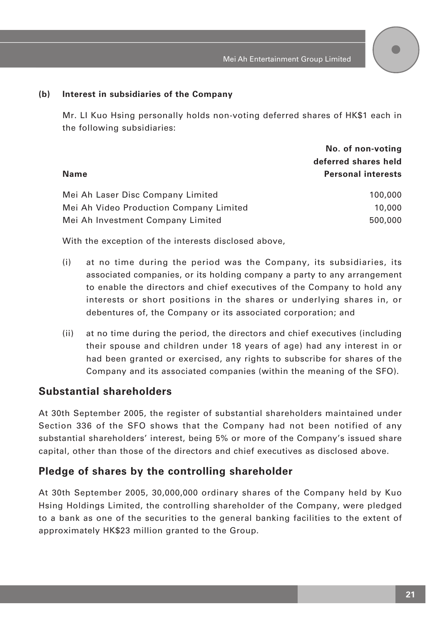# **(b) Interest in subsidiaries of the Company**

Mr. LI Kuo Hsing personally holds non-voting deferred shares of HK\$1 each in the following subsidiaries:

|                                         | No. of non-voting         |  |
|-----------------------------------------|---------------------------|--|
|                                         | deferred shares held      |  |
| Name                                    | <b>Personal interests</b> |  |
| Mei Ah Laser Disc Company Limited       | 100,000                   |  |
| Mei Ah Video Production Company Limited | 10,000                    |  |
| Mei Ah Investment Company Limited       | 500,000                   |  |

With the exception of the interests disclosed above,

- (i) at no time during the period was the Company, its subsidiaries, its associated companies, or its holding company a party to any arrangement to enable the directors and chief executives of the Company to hold any interests or short positions in the shares or underlying shares in, or debentures of, the Company or its associated corporation; and
- (ii) at no time during the period, the directors and chief executives (including their spouse and children under 18 years of age) had any interest in or had been granted or exercised, any rights to subscribe for shares of the Company and its associated companies (within the meaning of the SFO).

# **Substantial shareholders**

At 30th September 2005, the register of substantial shareholders maintained under Section 336 of the SFO shows that the Company had not been notified of any substantial shareholders' interest, being 5% or more of the Company's issued share capital, other than those of the directors and chief executives as disclosed above.

# **Pledge of shares by the controlling shareholder**

At 30th September 2005, 30,000,000 ordinary shares of the Company held by Kuo Hsing Holdings Limited, the controlling shareholder of the Company, were pledged to a bank as one of the securities to the general banking facilities to the extent of approximately HK\$23 million granted to the Group.